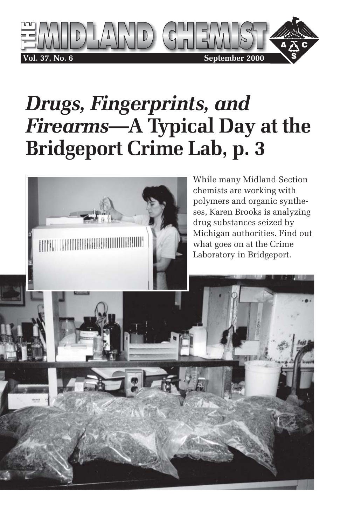

# *Drugs, Fingerprints, and Firearms***—A Typical Day at the Bridgeport Crime Lab, p. 3**

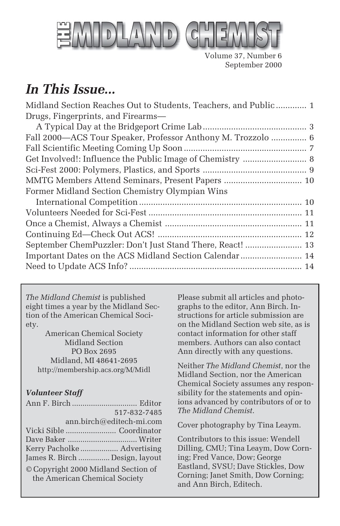

Volume 37, Number 6 September 2000

## *In This Issue...*

| Midland Section Reaches Out to Students, Teachers, and Public 1 |  |
|-----------------------------------------------------------------|--|
| Drugs, Fingerprints, and Firearms-                              |  |
|                                                                 |  |
| Fall 2000-ACS Tour Speaker, Professor Anthony M. Trozzolo  6    |  |
|                                                                 |  |
|                                                                 |  |
|                                                                 |  |
|                                                                 |  |
| Former Midland Section Chemistry Olympian Wins                  |  |
|                                                                 |  |
|                                                                 |  |
|                                                                 |  |
|                                                                 |  |
| September ChemPuzzler: Don't Just Stand There, React!  13       |  |
| Important Dates on the ACS Midland Section Calendar  14         |  |
|                                                                 |  |
|                                                                 |  |

*The Midland Chemist* is published eight times a year by the Midland Section of the American Chemical Society.

American Chemical Society Midland Section PO Box 2695 Midland, MI 48641-2695 http://membership.acs.org/M/Midl

#### *Volunteer Staff*

|                                                                      | 517-832-7485 |
|----------------------------------------------------------------------|--------------|
| ann.birch@editech-mi.com                                             |              |
|                                                                      |              |
|                                                                      |              |
| Kerry Pacholke  Advertising                                          |              |
| James R. Birch  Design, layout                                       |              |
| © Copyright 2000 Midland Section of<br>the American Chemical Society |              |

Please submit all articles and photographs to the editor, Ann Birch. Instructions for article submission are on the Midland Section web site, as is contact information for other staff members. Authors can also contact Ann directly with any questions.

Neither *The Midland Chemist*, nor the Midland Section, nor the American Chemical Society assumes any responsibility for the statements and opinions advanced by contributors of or to *The Midland Chemist*.

Cover photography by Tina Leaym.

Contributors to this issue: Wendell Dilling, CMU; Tina Leaym, Dow Corning; Fred Vance, Dow; George Eastland, SVSU; Dave Stickles, Dow Corning; Janet Smith, Dow Corning; and Ann Birch, Editech.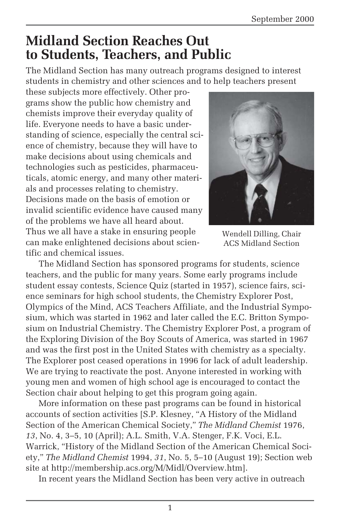### **Midland Section Reaches Out to Students, Teachers, and Public**

The Midland Section has many outreach programs designed to interest students in chemistry and other sciences and to help teachers present

these subjects more effectively. Other programs show the public how chemistry and chemists improve their everyday quality of life. Everyone needs to have a basic understanding of science, especially the central science of chemistry, because they will have to make decisions about using chemicals and technologies such as pesticides, pharmaceuticals, atomic energy, and many other materials and processes relating to chemistry. Decisions made on the basis of emotion or invalid scientific evidence have caused many of the problems we have all heard about. Thus we all have a stake in ensuring people can make enlightened decisions about scientific and chemical issues.



Wendell Dilling, Chair ACS Midland Section

The Midland Section has sponsored programs for students, science teachers, and the public for many years. Some early programs include student essay contests, Science Quiz (started in 1957), science fairs, science seminars for high school students, the Chemistry Explorer Post, Olympics of the Mind, ACS Teachers Affiliate, and the Industrial Symposium, which was started in 1962 and later called the E.C. Britton Symposium on Industrial Chemistry. The Chemistry Explorer Post, a program of the Exploring Division of the Boy Scouts of America, was started in 1967 and was the first post in the United States with chemistry as a specialty. The Explorer post ceased operations in 1996 for lack of adult leadership. We are trying to reactivate the post. Anyone interested in working with young men and women of high school age is encouraged to contact the Section chair about helping to get this program going again.

More information on these past programs can be found in historical accounts of section activities [S.P. Klesney, "A History of the Midland Section of the American Chemical Society," *The Midland Chemist* 1976, *13*, No. 4, 3–5, 10 (April); A.L. Smith, V.A. Stenger, F.K. Voci, E.L. Warrick, "History of the Midland Section of the American Chemical Society," *The Midland Chemist* 1994, *31*, No. 5, 5–10 (August 19); Section web site at http://membership.acs.org/M/Midl/Overview.htm].

In recent years the Midland Section has been very active in outreach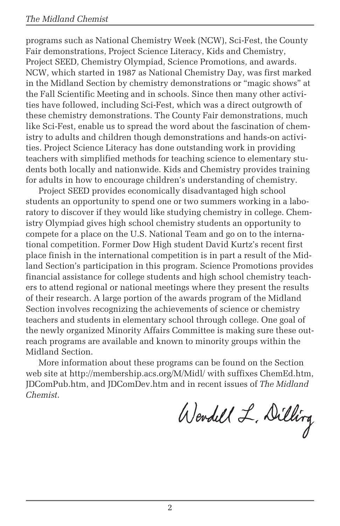programs such as National Chemistry Week (NCW), Sci-Fest, the County Fair demonstrations, Project Science Literacy, Kids and Chemistry, Project SEED, Chemistry Olympiad, Science Promotions, and awards. NCW, which started in 1987 as National Chemistry Day, was first marked in the Midland Section by chemistry demonstrations or "magic shows" at the Fall Scientific Meeting and in schools. Since then many other activities have followed, including Sci-Fest, which was a direct outgrowth of these chemistry demonstrations. The County Fair demonstrations, much like Sci-Fest, enable us to spread the word about the fascination of chemistry to adults and children though demonstrations and hands-on activities. Project Science Literacy has done outstanding work in providing teachers with simplified methods for teaching science to elementary students both locally and nationwide. Kids and Chemistry provides training for adults in how to encourage children's understanding of chemistry.

Project SEED provides economically disadvantaged high school students an opportunity to spend one or two summers working in a laboratory to discover if they would like studying chemistry in college. Chemistry Olympiad gives high school chemistry students an opportunity to compete for a place on the U.S. National Team and go on to the international competition. Former Dow High student David Kurtz's recent first place finish in the international competition is in part a result of the Midland Section's participation in this program. Science Promotions provides financial assistance for college students and high school chemistry teachers to attend regional or national meetings where they present the results of their research. A large portion of the awards program of the Midland Section involves recognizing the achievements of science or chemistry teachers and students in elementary school through college. One goal of the newly organized Minority Affairs Committee is making sure these outreach programs are available and known to minority groups within the Midland Section.

More information about these programs can be found on the Section web site at http://membership.acs.org/M/Midl/ with suffixes ChemEd.htm, JDComPub.htm, and JDComDev.htm and in recent issues of *The Midland Chemist*.

Wendell L. Dilling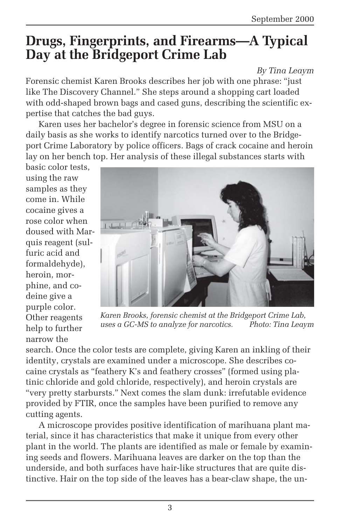### **Drugs, Fingerprints, and Firearms—A Typical Day at the Bridgeport Crime Lab**

*By Tina Leaym*

Forensic chemist Karen Brooks describes her job with one phrase: "just like The Discovery Channel." She steps around a shopping cart loaded with odd-shaped brown bags and cased guns, describing the scientific expertise that catches the bad guys.

Karen uses her bachelor's degree in forensic science from MSU on a daily basis as she works to identify narcotics turned over to the Bridgeport Crime Laboratory by police officers. Bags of crack cocaine and heroin lay on her bench top. Her analysis of these illegal substances starts with

basic color tests, using the raw samples as they come in. While cocaine gives a rose color when doused with Marquis reagent (sulfuric acid and formaldehyde), heroin, morphine, and codeine give a purple color. Other reagents help to further narrow the



*Karen Brooks, forensic chemist at the Bridgeport Crime Lab, uses a GC-MS to analyze for narcotics. Photo: Tina Leaym*

search. Once the color tests are complete, giving Karen an inkling of their identity, crystals are examined under a microscope. She describes cocaine crystals as "feathery K's and feathery crosses" (formed using platinic chloride and gold chloride, respectively), and heroin crystals are "very pretty starbursts." Next comes the slam dunk: irrefutable evidence provided by FTIR, once the samples have been purified to remove any cutting agents.

A microscope provides positive identification of marihuana plant material, since it has characteristics that make it unique from every other plant in the world. The plants are identified as male or female by examining seeds and flowers. Marihuana leaves are darker on the top than the underside, and both surfaces have hair-like structures that are quite distinctive. Hair on the top side of the leaves has a bear-claw shape, the un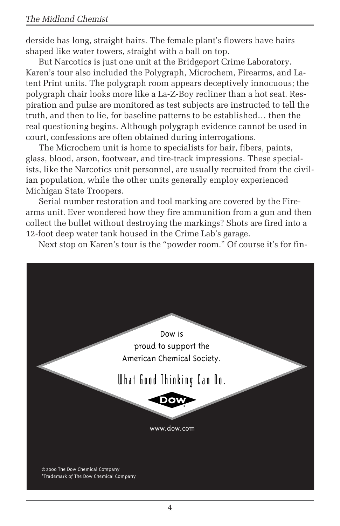derside has long, straight hairs. The female plant's flowers have hairs shaped like water towers, straight with a ball on top.

But Narcotics is just one unit at the Bridgeport Crime Laboratory. Karen's tour also included the Polygraph, Microchem, Firearms, and Latent Print units. The polygraph room appears deceptively innocuous; the polygraph chair looks more like a La-Z-Boy recliner than a hot seat. Respiration and pulse are monitored as test subjects are instructed to tell the truth, and then to lie, for baseline patterns to be established… then the real questioning begins. Although polygraph evidence cannot be used in court, confessions are often obtained during interrogations.

The Microchem unit is home to specialists for hair, fibers, paints, glass, blood, arson, footwear, and tire-track impressions. These specialists, like the Narcotics unit personnel, are usually recruited from the civilian population, while the other units generally employ experienced Michigan State Troopers.

Serial number restoration and tool marking are covered by the Firearms unit. Ever wondered how they fire ammunition from a gun and then collect the bullet without destroying the markings? Shots are fired into a 12-foot deep water tank housed in the Crime Lab's garage.

Next stop on Karen's tour is the "powder room." Of course it's for fin-

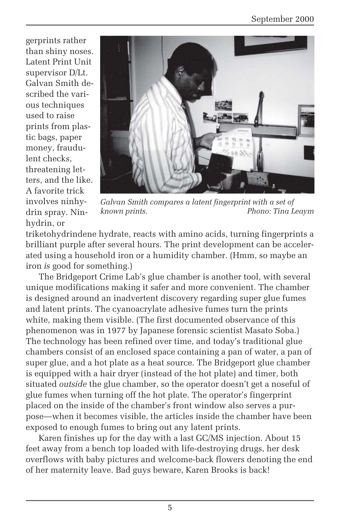gerprints rather than shiny noses. Latent Print Unit supervisor D/Lt. Galvan Smith described the various techniques used to raise prints from plastic bags, paper money, fraudulent checks, threatening letters, and the like. A favorite trick involves ninhydrin spray. Ninhydrin, or



*Galvan Smith compares a latent fingerprint with a set of known prints. Phono: Tina Leaym*

triketohydrindene hydrate, reacts with amino acids, turning fingerprints a brilliant purple after several hours. The print development can be accelerated using a household iron or a humidity chamber. (Hmm, so maybe an iron *is* good for something.)

The Bridgeport Crime Lab's glue chamber is another tool, with several unique modifications making it safer and more convenient. The chamber is designed around an inadvertent discovery regarding super glue fumes and latent prints. The cyanoacrylate adhesive fumes turn the prints white, making them visible. (The first documented observance of this phenomenon was in 1977 by Japanese forensic scientist Masato Soba.) The technology has been refined over time, and today's traditional glue chambers consist of an enclosed space containing a pan of water, a pan of super glue, and a hot plate as a heat source. The Bridgeport glue chamber is equipped with a hair dryer (instead of the hot plate) and timer, both situated *outside* the glue chamber, so the operator doesn't get a noseful of glue fumes when turning off the hot plate. The operator's fingerprint placed on the inside of the chamber's front window also serves a purpose—when it becomes visible, the articles inside the chamber have been exposed to enough fumes to bring out any latent prints.

Karen finishes up for the day with a last GC/MS injection. About 15 feet away from a bench top loaded with life-destroying drugs, her desk overflows with baby pictures and welcome-back flowers denoting the end of her maternity leave. Bad guys beware, Karen Brooks is back!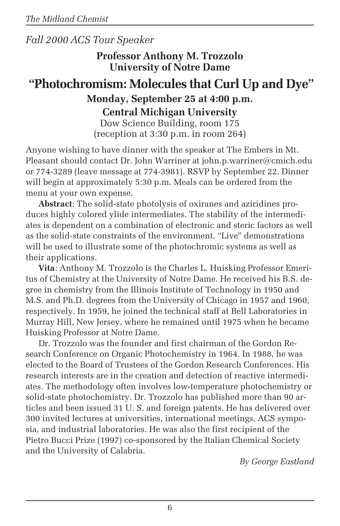#### *Fall 2000 ACS Tour Speaker*

**Professor Anthony M. Trozzolo University of Notre Dame**

### **"Photochromism: Molecules that Curl Up and Dye" Monday, September 25 at 4:00 p.m. Central Michigan University**

Dow Science Building, room 175 (reception at 3:30 p.m. in room 264)

Anyone wishing to have dinner with the speaker at The Embers in Mt. Pleasant should contact Dr. John Warriner at john.p.warriner@cmich.edu or 774-3289 (leave message at 774-3981). RSVP by September 22. Dinner will begin at approximately 5:30 p.m. Meals can be ordered from the menu at your own expense.

**Abstract**: The solid-state photolysis of oxiranes and aziridines produces highly colored ylide intermediates. The stability of the intermediates is dependent on a combination of electronic and steric factors as well as the solid-state constraints of the environment. "Live" demonstrations will be used to illustrate some of the photochromic systems as well as their applications.

**Vita**: Anthony M. Trozzolo is the Charles L. Huisking Professor Emeritus of Chemistry at the University of Notre Dame. He received his B.S. degree in chemistry from the Illinois Institute of Technology in 1950 and M.S. and Ph.D. degrees from the University of Chicago in 1957 and 1960, respectively. In 1959, he joined the technical staff at Bell Laboratories in Murray Hill, New Jersey, where he remained until 1975 when he became Huisking Professor at Notre Dame.

Dr. Trozzolo was the founder and first chairman of the Gordon Research Conference on Organic Photochemistry in 1964. In 1988, he was elected to the Board of Trustees of the Gordon Research Conferences. His research interests are in the creation and detection of reactive intermediates. The methodology often involves low-temperature photochemistry or solid-state photochemistry. Dr. Trozzolo has published more than 90 articles and been issued 31 U. S. and foreign patents. He has delivered over 300 invited lectures at universities, international meetings, ACS symposia, and industrial laboratories. He was also the first recipient of the Pietro Bucci Prize (1997) co-sponsored by the Italian Chemical Society and the University of Calabria.

*By George Eastland*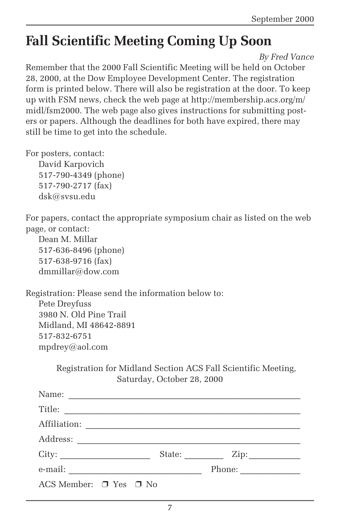# **Fall Scientific Meeting Coming Up Soon**

*By Fred Vance*

Remember that the 2000 Fall Scientific Meeting will be held on October 28, 2000, at the Dow Employee Development Center. The registration form is printed below. There will also be registration at the door. To keep up with FSM news, check the web page at http://membership.acs.org/m/ midl/fsm2000. The web page also gives instructions for submitting posters or papers. Although the deadlines for both have expired, there may still be time to get into the schedule.

For posters, contact: David Karpovich

517-790-4349 (phone) 517-790-2717 (fax) dsk@svsu.edu

For papers, contact the appropriate symposium chair as listed on the web page, or contact:

Dean M. Millar 517-636-8496 (phone) 517-638-9716 (fax) dmmillar@dow.com

Registration: Please send the information below to: Pete Dreyfuss 3980 N. Old Pine Trail Midland, MI 48642-8891 517-832-6751 mpdrey@aol.com

> Registration for Midland Section ACS Fall Scientific Meeting, Saturday, October 28, 2000

|                                  | State: Zip: |
|----------------------------------|-------------|
|                                  | Phone:      |
| ACS Member: $\Box$ Yes $\Box$ No |             |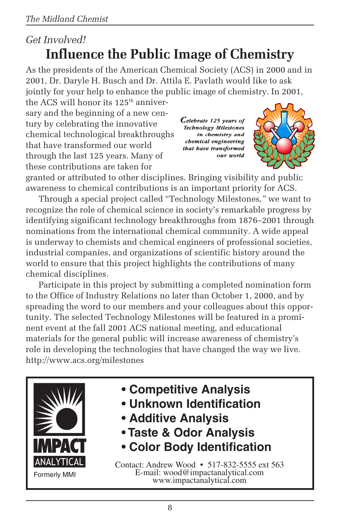### *Get Involved!* **Influence the Public Image of Chemistry**

As the presidents of the American Chemical Society (ACS) in 2000 and in 2001, Dr. Daryle H. Busch and Dr. Attila E. Pavlath would like to ask jointly for your help to enhance the public image of chemistry. In 2001,

the ACS will honor its  $125<sup>th</sup>$  anniversary and the beginning of a new century by celebrating the innovative chemical technological breakthroughs that have transformed our world through the last 125 years. Many of these contributions are taken for

Celebrate 125 years of **Technology Milestones** in chemistry and chemical engineering that have transformed our world



granted or attributed to other disciplines. Bringing visibility and public awareness to chemical contributions is an important priority for ACS.

Through a special project called "Technology Milestones*,"* we want to recognize the role of chemical science in society's remarkable progress by identifying significant technology breakthroughs from 1876–2001 through nominations from the international chemical community. A wide appeal is underway to chemists and chemical engineers of professional societies, industrial companies, and organizations of scientific history around the world to ensure that this project highlights the contributions of many chemical disciplines.

Participate in this project by submitting a completed nomination form to the Office of Industry Relations no later than October 1, 2000, and by spreading the word to our members and your colleagues about this opportunity. The selected Technology Milestones will be featured in a prominent event at the fall 2001 ACS national meeting, and educational materials for the general public will increase awareness of chemistry's role in developing the technologies that have changed the way we live. http://www.acs.org/milestones



- **Competitive Analysis**
- **Unknown Identification**
- **Additive Analysis**
- **Taste & Odor Analysis**
- **Color Body Identification**

Contact: Andrew Wood • 517-832-5555 ext 563 E-mail: wood@impactanalytical.com www.impactanalytical.com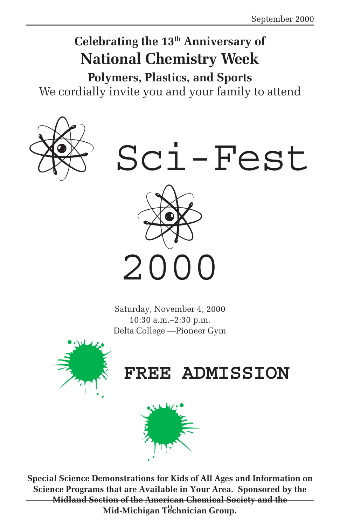# **Celebrating the 13th Anniversary of National Chemistry Week**

**Polymers, Plastics, and Sports** We cordially invite you and your family to attend





Saturday, November 4, 2000 10:30 a.m.–2:30 p.m. Delta College —Pioneer Gym



# **FREE ADMISSION**



9 **Mid-Michigan Technician Group.Special Science Demonstrations for Kids of All Ages and Information on Science Programs that are Available in Your Area. Sponsored by the Midland Section of the American Chemical Society and the**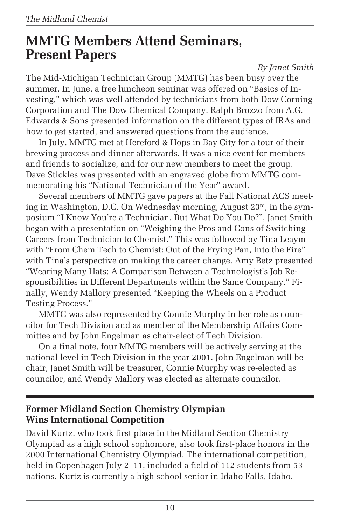### **MMTG Members Attend Seminars, Present Papers**

*By Janet Smith*

The Mid-Michigan Technician Group (MMTG) has been busy over the summer. In June, a free luncheon seminar was offered on "Basics of Investing," which was well attended by technicians from both Dow Corning Corporation and The Dow Chemical Company. Ralph Brozzo from A.G. Edwards & Sons presented information on the different types of IRAs and how to get started, and answered questions from the audience.

In July, MMTG met at Hereford & Hops in Bay City for a tour of their brewing process and dinner afterwards. It was a nice event for members and friends to socialize, and for our new members to meet the group. Dave Stickles was presented with an engraved globe from MMTG commemorating his "National Technician of the Year" award.

Several members of MMTG gave papers at the Fall National ACS meeting in Washington, D.C. On Wednesday morning, August 23rd, in the symposium "I Know You're a Technician, But What Do You Do?", Janet Smith began with a presentation on "Weighing the Pros and Cons of Switching Careers from Technician to Chemist." This was followed by Tina Leaym with "From Chem Tech to Chemist: Out of the Frying Pan, Into the Fire" with Tina's perspective on making the career change. Amy Betz presented "Wearing Many Hats; A Comparison Between a Technologist's Job Responsibilities in Different Departments within the Same Company." Finally, Wendy Mallory presented "Keeping the Wheels on a Product Testing Process."

MMTG was also represented by Connie Murphy in her role as councilor for Tech Division and as member of the Membership Affairs Committee and by John Engelman as chair-elect of Tech Division.

On a final note, four MMTG members will be actively serving at the national level in Tech Division in the year 2001. John Engelman will be chair, Janet Smith will be treasurer, Connie Murphy was re-elected as councilor, and Wendy Mallory was elected as alternate councilor.

#### **Former Midland Section Chemistry Olympian Wins International Competition**

David Kurtz, who took first place in the Midland Section Chemistry Olympiad as a high school sophomore, also took first-place honors in the 2000 International Chemistry Olympiad. The international competition, held in Copenhagen July 2–11, included a field of 112 students from 53 nations. Kurtz is currently a high school senior in Idaho Falls, Idaho.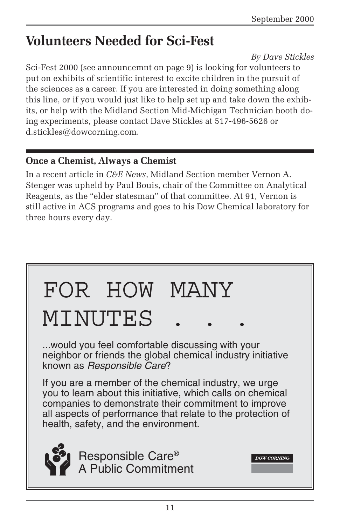# **Volunteers Needed for Sci-Fest**

#### *By Dave Stickles*

Sci-Fest 2000 (see announcemnt on page 9) is looking for volunteers to put on exhibits of scientific interest to excite children in the pursuit of the sciences as a career. If you are interested in doing something along this line, or if you would just like to help set up and take down the exhibits, or help with the Midland Section Mid-Michigan Technician booth doing experiments, please contact Dave Stickles at 517-496-5626 or d.stickles@dowcorning.com.

#### **Once a Chemist, Always a Chemist**

In a recent article in *C&E News*, Midland Section member Vernon A. Stenger was upheld by Paul Bouis, chair of the Committee on Analytical Reagents, as the "elder statesman" of that committee. At 91, Vernon is still active in ACS programs and goes to his Dow Chemical laboratory for three hours every day.

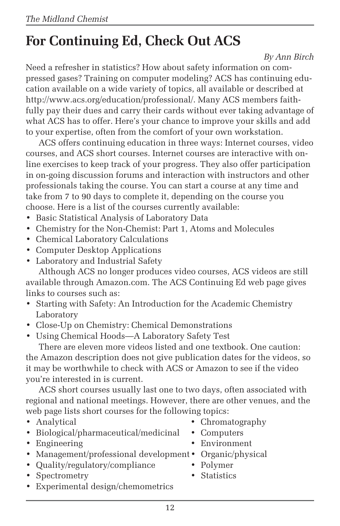# **For Continuing Ed, Check Out ACS**

#### *By Ann Birch*

Need a refresher in statistics? How about safety information on compressed gases? Training on computer modeling? ACS has continuing education available on a wide variety of topics, all available or described at http://www.acs.org/education/professional/. Many ACS members faithfully pay their dues and carry their cards without ever taking advantage of what ACS has to offer. Here's your chance to improve your skills and add to your expertise, often from the comfort of your own workstation.

ACS offers continuing education in three ways: Internet courses, video courses, and ACS short courses. Internet courses are interactive with online exercises to keep track of your progress. They also offer participation in on-going discussion forums and interaction with instructors and other professionals taking the course. You can start a course at any time and take from 7 to 90 days to complete it, depending on the course you choose. Here is a list of the courses currently available:

- Basic Statistical Analysis of Laboratory Data
- Chemistry for the Non-Chemist: Part 1, Atoms and Molecules
- Chemical Laboratory Calculations
- Computer Desktop Applications
- Laboratory and Industrial Safety

Although ACS no longer produces video courses, ACS videos are still available through Amazon.com. The ACS Continuing Ed web page gives links to courses such as:

- Starting with Safety: An Introduction for the Academic Chemistry Laboratory
- Close-Up on Chemistry: Chemical Demonstrations
- Using Chemical Hoods—A Laboratory Safety Test

There are eleven more videos listed and one textbook. One caution: the Amazon description does not give publication dates for the videos, so it may be worthwhile to check with ACS or Amazon to see if the video you're interested in is current.

ACS short courses usually last one to two days, often associated with regional and national meetings. However, there are other venues, and the web page lists short courses for the following topics:

- 
- Biological/pharmaceutical/medicinal Computers
- 
- Management/professional development Organic/physical
- Quality/regulatory/compliance Polymer
- Spectrometry Statistics
- Experimental design/chemometrics
- Analytical Chromatography
	-
- Engineering Environment
	- -
		-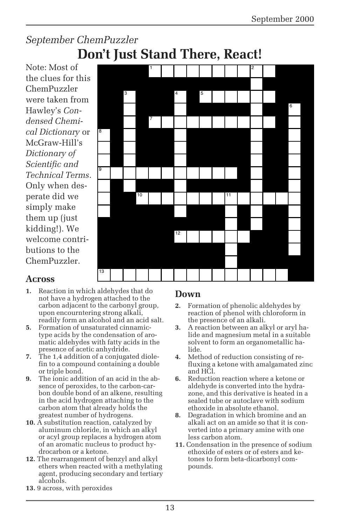### *September ChemPuzzler* **Don't Just Stand There, React!**

Note: Most of the clues for this ChemPuzzler were taken from Hawley's *Condensed Chemical Dictionary* or McGraw-Hill's *Dictionary of Scientific and Technical Terms*. Only when desperate did we simply make them up (just kidding!). We welcome contributions to the ChemPuzzler.



#### **Across**

- **1.** Reaction in which aldehydes that do not have a hydrogen attached to the carbon adjacent to the carbonyl group, upon encourntering strong alkali, readily form an alcohol and an acid salt.
- **5.** Formation of unsaturated cinnamictype acids by the condensation of aromatic aldehydes with fatty acids in the presence of acetic anhydride.
- **7.** The 1,4 addition of a conjugated diolefin to a compound containing a double or triple bond.
- **9.** The ionic addition of an acid in the absence of peroxides, to the carbon-carbon double bond of an alkene, resulting in the acid hydrogen attaching to the carbon atom that already holds the greatest number of hydrogens.
- **10.** A substitution reaction, catalyzed by aluminum chloride, in which an alkyl or acyl group replaces a hydrogen atom of an aromatic nucleus to product hydrocarbon or a ketone.
- **12.** The rearrangement of benzyl and alkyl ethers when reacted with a methylating agent, producing secondary and tertiary alcohols.

#### **Down**

- **2.** Formation of phenolic aldehydes by reaction of phenol with chloroform in the presence of an alkali.
- **3.** A reaction between an alkyl or aryl halide and magnesium metal in a suitable solvent to form an organometallic halide.
- **4.** Method of reduction consisting of refluxing a ketone with amalgamated zinc and HCl.
- **6.** Reduction reaction where a ketone or aldehyde is converted into the hydrazone, and this derivative is heated in a sealed tube or autoclave with sodium ethoxide in absolute ethanol.
- **8.** Degradation in which bromine and an alkali act on an amide so that it is converted into a primary amine with one less carbon atom.
- **11.** Condensation in the presence of sodium ethoxide of esters or of esters and ketones to form beta-dicarbonyl compounds.

**13.** 9 across, with peroxides